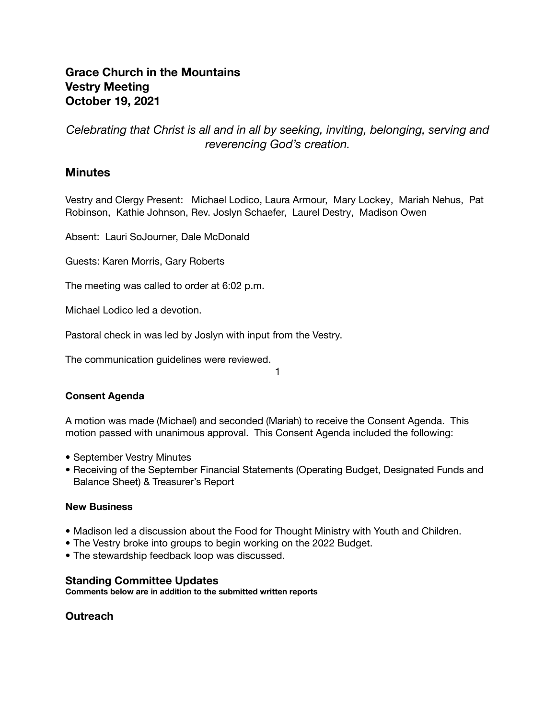# **Grace Church in the Mountains Vestry Meeting October 19, 2021**

*Celebrating that Christ is all and in all by seeking, inviting, belonging, serving and reverencing God's creation.*

# **Minutes**

Vestry and Clergy Present: Michael Lodico, Laura Armour, Mary Lockey, Mariah Nehus, Pat Robinson, Kathie Johnson, Rev. Joslyn Schaefer, Laurel Destry, Madison Owen

Absent: Lauri SoJourner, Dale McDonald

Guests: Karen Morris, Gary Roberts

The meeting was called to order at 6:02 p.m.

Michael Lodico led a devotion.

Pastoral check in was led by Joslyn with input from the Vestry.

The communication guidelines were reviewed.

1

## **Consent Agenda**

A motion was made (Michael) and seconded (Mariah) to receive the Consent Agenda. This motion passed with unanimous approval. This Consent Agenda included the following:

- September Vestry Minutes
- Receiving of the September Financial Statements (Operating Budget, Designated Funds and Balance Sheet) & Treasurer's Report

### **New Business**

- Madison led a discussion about the Food for Thought Ministry with Youth and Children.
- The Vestry broke into groups to begin working on the 2022 Budget.
- The stewardship feedback loop was discussed.

## **Standing Committee Updates**

**Comments below are in addition to the submitted written reports**

**Outreach**